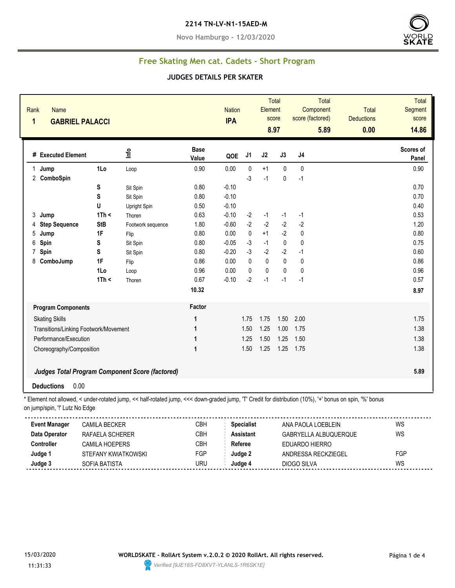#### **2214 TN-LV-N1-15AED-M**

**Novo Hamburgo - 12/03/2020**



# **Free Skating Men cat. Cadets - Short Program**

#### **JUDGES DETAILS PER SKATER**

| Rank<br><b>Name</b><br>$\mathbf{1}$<br><b>GABRIEL PALACCI</b> |                       |                                                                                                                                                          |                      |                 | <b>Nation</b><br><b>IPA</b> |                     | <b>Total</b><br><b>Element</b><br>score<br>8.97 | <b>Total</b><br>Component<br>score (factored)<br>5.89 | <b>Total</b><br><b>Deductions</b><br>0.00 | Total<br><b>Segment</b><br>score<br>14.86 |
|---------------------------------------------------------------|-----------------------|----------------------------------------------------------------------------------------------------------------------------------------------------------|----------------------|-----------------|-----------------------------|---------------------|-------------------------------------------------|-------------------------------------------------------|-------------------------------------------|-------------------------------------------|
| # Executed Element                                            |                       | lnfo                                                                                                                                                     | <b>Base</b><br>Value | QOE             | J1                          | J2                  | J3                                              | J <sub>4</sub>                                        |                                           | Scores of<br>Panel                        |
| 1 Jump                                                        | 1Lo                   | Loop                                                                                                                                                     | 0.90                 | 0.00            | 0                           | $+1$                | $\mathbf 0$                                     | $\mathbf{0}$                                          |                                           | 0.90                                      |
| 2 ComboSpin                                                   |                       |                                                                                                                                                          |                      |                 | $-3$                        | $-1$                | $\mathbf{0}$                                    | $-1$                                                  |                                           |                                           |
|                                                               | S                     | Sit Spin                                                                                                                                                 | 0.80                 | $-0.10$         |                             |                     |                                                 |                                                       |                                           | 0.70                                      |
|                                                               | S                     | Sit Spin                                                                                                                                                 | 0.80                 | $-0.10$         |                             |                     |                                                 |                                                       |                                           | 0.70                                      |
|                                                               | U                     | <b>Upright Spin</b>                                                                                                                                      | 0.50                 | $-0.10$         |                             |                     |                                                 |                                                       |                                           | 0.40                                      |
| Jump<br>3                                                     | 1Th <                 | Thoren                                                                                                                                                   | 0.63                 | $-0.10$         | $-2$                        | $-1$                | $-1$                                            | $-1$                                                  |                                           | 0.53                                      |
| <b>Step Sequence</b><br>4                                     | <b>StB</b>            | Footwork sequence                                                                                                                                        | 1.80                 | $-0.60$         | $-2$                        | $-2$                | $-2$                                            | $-2$                                                  |                                           | 1.20                                      |
| 5<br>Jump                                                     | 1F                    | Flip                                                                                                                                                     | 0.80                 | 0.00            | 0                           | $+1$                | $-2$                                            | 0                                                     |                                           | 0.80                                      |
| 6<br>Spin                                                     | S                     | Sit Spin                                                                                                                                                 | 0.80                 | $-0.05$         | $-3$                        | $-1$                | $\pmb{0}$                                       | $\mathbf 0$                                           |                                           | 0.75                                      |
| Spin<br>$\overline{7}$                                        | S                     | Sit Spin                                                                                                                                                 | 0.80                 | $-0.20$         | $-3$<br>$\mathbf{0}$        | $-2$<br>$\mathbf 0$ | $-2$<br>$\mathbf{0}$                            | $-1$                                                  |                                           | 0.60                                      |
| 8 ComboJump                                                   | 1F                    | Flip                                                                                                                                                     | 0.86<br>0.96         | 0.00            | 0                           | 0                   | $\pmb{0}$                                       | $\pmb{0}$<br>$\pmb{0}$                                |                                           | 0.86<br>0.96                              |
|                                                               | 1Lo<br>1Th <          | Loop                                                                                                                                                     | 0.67                 | 0.00<br>$-0.10$ | $-2$                        | $-1$                | $-1$                                            | $-1$                                                  |                                           | 0.57                                      |
|                                                               |                       | Thoren                                                                                                                                                   |                      |                 |                             |                     |                                                 |                                                       |                                           |                                           |
|                                                               |                       |                                                                                                                                                          | 10.32                |                 |                             |                     |                                                 |                                                       |                                           | 8.97                                      |
| <b>Program Components</b>                                     |                       |                                                                                                                                                          | Factor               |                 |                             |                     |                                                 |                                                       |                                           |                                           |
| <b>Skating Skills</b>                                         |                       |                                                                                                                                                          | $\mathbf{1}$         |                 | 1.75                        | 1.75                | 1.50                                            | 2.00                                                  |                                           | 1.75                                      |
| Transitions/Linking Footwork/Movement                         |                       |                                                                                                                                                          | $\mathbf{1}$         |                 | 1.50                        | 1.25                | 1.00                                            | 1.75                                                  |                                           | 1.38                                      |
| Performance/Execution                                         |                       |                                                                                                                                                          | 1                    |                 | 1.25                        | 1.50                | 1.25                                            | 1.50                                                  |                                           | 1.38                                      |
| Choreography/Composition                                      |                       |                                                                                                                                                          | 1                    |                 | 1.50                        | 1.25                | 1.25                                            | 1.75                                                  |                                           | 1.38                                      |
|                                                               |                       |                                                                                                                                                          |                      |                 |                             |                     |                                                 |                                                       |                                           |                                           |
|                                                               |                       | <b>Judges Total Program Component Score (factored)</b>                                                                                                   |                      |                 |                             |                     |                                                 |                                                       |                                           | 5.89                                      |
| <b>Deductions</b>                                             | 0.00                  |                                                                                                                                                          |                      |                 |                             |                     |                                                 |                                                       |                                           |                                           |
|                                                               |                       |                                                                                                                                                          |                      |                 |                             |                     |                                                 |                                                       |                                           |                                           |
| on jump/spin, "!' Lutz No Edge                                |                       | * Element not allowed, < under-rotated jump, << half-rotated jump, <<< down-graded jump, 'T' Credit for distribution (10%), '+' bonus on spin, '%' bonus |                      |                 |                             |                     |                                                 |                                                       |                                           |                                           |
| <b>Event Manager</b>                                          | <b>CAMILA BECKER</b>  |                                                                                                                                                          | CBH                  |                 | <b>Specialist</b>           |                     |                                                 | ANA PAOLA LOEBLEIN                                    |                                           | <b>WS</b>                                 |
| Data Operator                                                 | RAFAELA SCHERER       |                                                                                                                                                          | <b>CBH</b>           |                 | <b>Assistant</b>            |                     |                                                 | GABRYELLA ALBUQUERQUE                                 |                                           | <b>WS</b>                                 |
| <b>Controller</b>                                             | <b>CAMILA HOEPERS</b> |                                                                                                                                                          | CBH                  |                 | Referee                     |                     |                                                 | <b>EDUARDO HIERRO</b>                                 |                                           |                                           |
| Judge 1                                                       | STEFANY KWIATKOWSKI   |                                                                                                                                                          | FGP                  |                 | Judge 2                     |                     |                                                 | ANDRESSA RECKZIEGEL                                   |                                           | FGP                                       |
| Judge 3                                                       | <b>SOFIA BATISTA</b>  |                                                                                                                                                          | <b>URU</b>           |                 | Judge 4                     |                     |                                                 | <b>DIOGO SILVA</b>                                    |                                           | <b>WS</b>                                 |

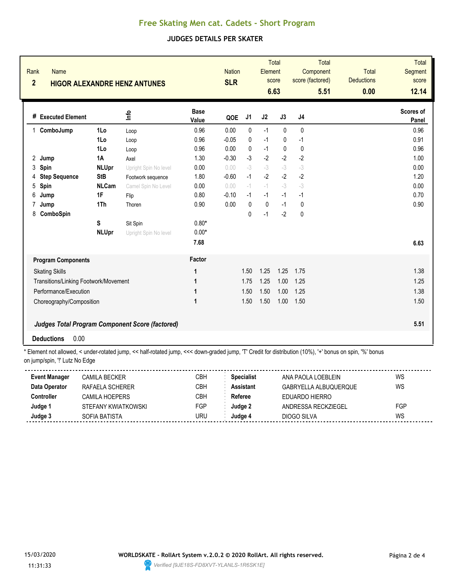## **Free Skating Men cat. Cadets - Short Program**

### **JUDGES DETAILS PER SKATER**

| Rank<br><b>Name</b><br>$\overline{2}$ |                       | <b>HIGOR ALEXANDRE HENZ ANTUNES</b>                    |                      | <b>Nation</b><br><b>SLR</b> |              | Element   | <b>Total</b><br>score<br>6.63 | Component<br>score (factored) | <b>Total</b><br>5.51 | <b>Total</b><br><b>Deductions</b><br>0.00 | <b>Total</b><br><b>Segment</b><br>score<br>12.14 |
|---------------------------------------|-----------------------|--------------------------------------------------------|----------------------|-----------------------------|--------------|-----------|-------------------------------|-------------------------------|----------------------|-------------------------------------------|--------------------------------------------------|
| # Executed Element                    |                       | 울                                                      | <b>Base</b><br>Value | QOE                         | J1           | J2        | J3                            | J4                            |                      |                                           | Scores of<br>Panel                               |
| ComboJump<br>1                        | 1Lo                   | Loop                                                   | 0.96                 | 0.00                        | 0            | $-1$      | $\mathbf{0}$                  | 0                             |                      |                                           | 0.96                                             |
|                                       | 1Lo                   | Loop                                                   | 0.96                 | $-0.05$                     | 0            | $-1$      | 0                             | $-1$                          |                      |                                           | 0.91                                             |
|                                       | 1Lo                   | Loop                                                   | 0.96                 | 0.00                        | $\mathbf{0}$ | $-1$      | $\mathbf 0$                   | $\mathbf 0$                   |                      |                                           | 0.96                                             |
| 2<br>Jump                             | <b>1A</b>             | Axel                                                   | 1.30                 | $-0.30$                     | $-3$         | $-2$      | $-2$                          | $-2$                          |                      |                                           | 1.00                                             |
| 3<br>Spin                             | <b>NLUpr</b>          | Upright Spin No level                                  | 0.00                 | 0.00                        | $-3$         | $-3$      | $-3$                          | $-3$                          |                      |                                           | 0.00                                             |
| <b>Step Sequence</b><br>4             | <b>StB</b>            | Footwork sequence                                      | 1.80                 | $-0.60$                     | $-1$         | $-2$      | $-2$                          | $-2$                          |                      |                                           | 1.20                                             |
| 5<br>Spin                             | <b>NLCam</b>          | Camel Spin No Level                                    | 0.00                 | 0.00                        | $-1$         | $-1$      | $-3$                          | $-3$                          |                      |                                           | 0.00                                             |
| 6<br>Jump                             | 1F                    | Flip                                                   | 0.80                 | $-0.10$                     | $-1$         | $-1$      | $-1$                          | $-1$                          |                      |                                           | 0.70                                             |
| 7<br>Jump                             | 1Th                   | Thoren                                                 | 0.90                 | 0.00                        | $\mathbf{0}$ | $\pmb{0}$ | $-1$                          | $\mathbf{0}$                  |                      |                                           | 0.90                                             |
| 8<br>ComboSpin                        |                       |                                                        |                      |                             | 0            | $-1$      | $-2$                          | 0                             |                      |                                           |                                                  |
|                                       | S                     | Sit Spin                                               | $0.80*$              |                             |              |           |                               |                               |                      |                                           |                                                  |
|                                       | <b>NLUpr</b>          | Upright Spin No level                                  | $0.00*$              |                             |              |           |                               |                               |                      |                                           |                                                  |
|                                       |                       |                                                        | 7.68                 |                             |              |           |                               |                               |                      |                                           | 6.63                                             |
| <b>Program Components</b>             |                       |                                                        | Factor               |                             |              |           |                               |                               |                      |                                           |                                                  |
| <b>Skating Skills</b>                 |                       |                                                        | 1                    |                             | 1.50         | 1.25      | 1.25                          | 1.75                          |                      |                                           | 1.38                                             |
| Transitions/Linking Footwork/Movement |                       |                                                        | 1                    |                             | 1.75         | 1.25      | 1.00                          | 1.25                          |                      |                                           | 1.25                                             |
|                                       | Performance/Execution |                                                        |                      |                             | 1.50         | 1.50      | 1.00                          | 1.25                          |                      |                                           | 1.38                                             |
| Choreography/Composition              |                       | $\mathbf{1}$                                           |                      | 1.50                        | 1.50         | 1.00      | 1.50                          |                               |                      | 1.50                                      |                                                  |
|                                       |                       | <b>Judges Total Program Component Score (factored)</b> |                      |                             |              |           |                               |                               |                      |                                           | 5.51                                             |
| 0.00<br><b>Deductions</b>             |                       |                                                        |                      |                             |              |           |                               |                               |                      |                                           |                                                  |

\* Element not allowed, < under-rotated jump, << half-rotated jump, <<< down-graded jump, 'T' Credit for distribution (10%), '+' bonus on spin, '%' bonus on jump/spin, '!' Lutz No Edge

| <b>Event Manager</b> | CAMILA BECKER-      | CBH | Specialist | ANA PAOLA LOEBI FIN   | WS  |
|----------------------|---------------------|-----|------------|-----------------------|-----|
| Data Operator        | RAFAELA SCHERER     | СВН | Assistant  | GABRYELLA ALBUQUERQUE | WS  |
| Controller           | CAMII A HOFPFRS     | СВН | Referee    | EDUARDO HIERRO        |     |
| Judge '              | STEFANY KWIATKOWSKI | FGP | 'udae 2    | ANDRESSA RECKZIEGEL   | FGP |
| Judge 3              | SOFIA BATISTA       | uru | Judae 4    | DIOGO SILVA           | WS  |
|                      |                     |     |            |                       |     |

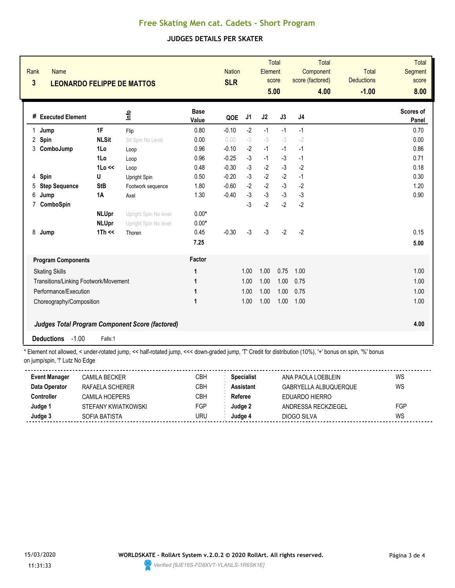## **Free Skating Men cat. Cadets - Short Program**

### **JUDGES DETAILS PER SKATER**

| Rank<br><b>Name</b><br>$\overline{\mathbf{3}}$<br><b>LEONARDO FELIPPE DE MATTOS</b> |                            |                                                        |                      | <b>Nation</b><br><b>SLR</b> |      | Total<br>Element<br>score<br>5.00 |      | Component<br>score (factored) | Total<br>4.00 | Total<br><b>Deductions</b><br>$-1.00$ | <b>Total</b><br><b>Segment</b><br>score<br>8.00 |
|-------------------------------------------------------------------------------------|----------------------------|--------------------------------------------------------|----------------------|-----------------------------|------|-----------------------------------|------|-------------------------------|---------------|---------------------------------------|-------------------------------------------------|
| # Executed Element                                                                  |                            | ۴ů                                                     | <b>Base</b><br>Value | QOE                         | J1   | J2                                | J3   | J4                            |               |                                       | Scores of<br>Panel                              |
| Jump<br>1                                                                           | 1F                         | Flip                                                   | 0.80                 | $-0.10$                     | $-2$ | $-1$                              | $-1$ | $-1$                          |               |                                       | 0.70                                            |
| 2<br>Spin                                                                           | <b>NLSit</b>               | Sit Spin No Level                                      | 0.00                 | 0.00                        | $-3$ | $-3$                              | $-3$ | $-2$                          |               |                                       | 0.00                                            |
| 3<br>ComboJump                                                                      | 1Lo                        | Loop                                                   | 0.96                 | $-0.10$                     | $-2$ | $-1$                              | $-1$ | $-1$                          |               |                                       | 0.86                                            |
|                                                                                     | 1Lo                        | Loop                                                   | 0.96                 | $-0.25$                     | $-3$ | $-1$                              | $-3$ | $-1$                          |               |                                       | 0.71                                            |
|                                                                                     | 1 <sub>0</sub> <           | Loop                                                   | 0.48                 | $-0.30$                     | $-3$ | $-2$                              | $-3$ | $-2$                          |               |                                       | 0.18                                            |
| Spin<br>4                                                                           | U                          | Upright Spin                                           | 0.50                 | $-0.20$                     | $-3$ | $-2$                              | $-2$ | $-1$                          |               |                                       | 0.30                                            |
| <b>Step Sequence</b><br>5                                                           | <b>StB</b>                 | Footwork sequence                                      | 1.80                 | $-0.60$                     | $-2$ | $-2$                              | $-3$ | $-2$                          |               |                                       | 1.20                                            |
| 6<br>Jump                                                                           | 1A                         | Axel                                                   | 1.30                 | $-0.40$                     | $-3$ | $-3$                              | $-3$ | $-3$                          |               |                                       | 0.90                                            |
| 7<br>ComboSpin                                                                      |                            |                                                        |                      |                             | $-3$ | $-2$                              | $-2$ | $-2$                          |               |                                       |                                                 |
|                                                                                     | <b>NLUpr</b>               | Upright Spin No level                                  | $0.00*$              |                             |      |                                   |      |                               |               |                                       |                                                 |
|                                                                                     | <b>NLUpr</b>               | Upright Spin No level                                  | $0.00*$              |                             |      |                                   |      |                               |               |                                       |                                                 |
| 8<br>Jump                                                                           | $1Th \ll$                  | Thoren                                                 | 0.45                 | $-0.30$                     | $-3$ | $-3$                              | $-2$ | $-2$                          |               |                                       | 0.15                                            |
|                                                                                     |                            |                                                        | 7.25                 |                             |      |                                   |      |                               |               |                                       | 5.00                                            |
| <b>Program Components</b>                                                           |                            |                                                        | Factor               |                             |      |                                   |      |                               |               |                                       |                                                 |
| <b>Skating Skills</b>                                                               |                            |                                                        | 1                    |                             | 1.00 | 1.00                              | 0.75 | 1.00                          |               |                                       | 1.00                                            |
| Transitions/Linking Footwork/Movement                                               |                            |                                                        | 1                    |                             | 1.00 | 1.00                              | 1.00 | 0.75                          |               |                                       | 1.00                                            |
|                                                                                     | Performance/Execution<br>1 |                                                        |                      |                             | 1.00 | 1.00                              | 1.00 | 0.75                          |               |                                       | 1.00                                            |
| Choreography/Composition                                                            |                            |                                                        | 1                    |                             | 1.00 | 1.00                              | 1.00 | 1.00                          |               |                                       | 1.00                                            |
|                                                                                     |                            |                                                        |                      |                             |      |                                   |      |                               |               |                                       |                                                 |
|                                                                                     |                            | <b>Judges Total Program Component Score (factored)</b> |                      |                             |      |                                   |      |                               |               |                                       | 4.00                                            |
| $-1.00$<br><b>Deductions</b>                                                        | Falls:1                    |                                                        |                      |                             |      |                                   |      |                               |               |                                       |                                                 |

\* Element not allowed, < under-rotated jump, << half-rotated jump, <<< down-graded jump, 'T' Credit for distribution (10%), '+' bonus on spin, '%' bonus on jump/spin, '!' Lutz No Edge

| <b>Event Manager</b> | CAMILA BECKER       | СВН | <b>Specialist</b> | ANA PAOLA LOEBLEIN    | WS  |
|----------------------|---------------------|-----|-------------------|-----------------------|-----|
| Data Operator        | RAFAELA SCHERER     | СВН | <b>Assistant</b>  | GABRYELLA ALBUQUERQUE | WS  |
| Controller           | CAMILA HOEPERS      | СВН | Referee           | EDUARDO HIERRO        |     |
| Judge 1              | STEFANY KWIATKOWSKI | FGP | Judge 2           | ANDRESSA RECKZIEGEL   | FGP |
| Judge 3              | SOFIA BATISTA       | uru | Judae 4           | DIOGO SILVA           | WS  |